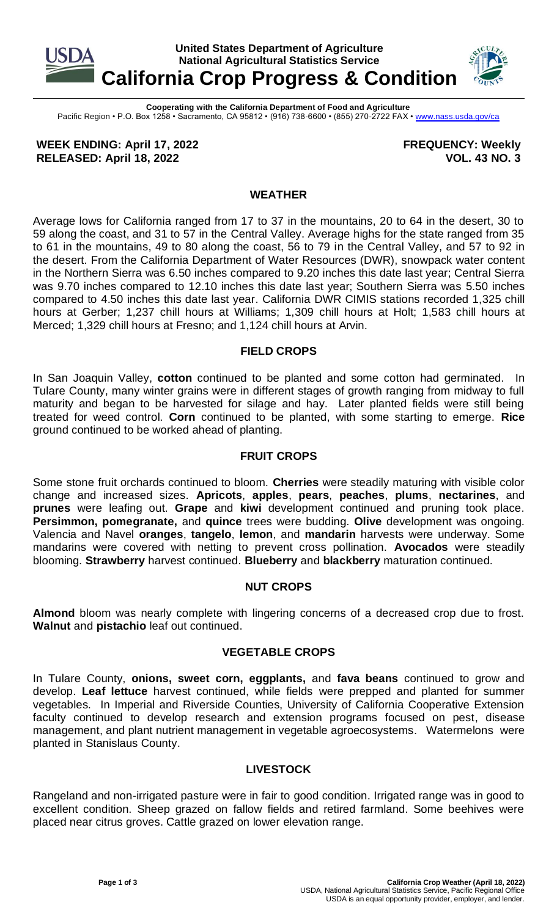

**Cooperating with the California Department of Food and Agriculture** Pacific Region • P.O. Box 1258 • Sacramento, CA 95812 • (916) 738-6600 • (855) 270-2722 FAX [• www.nass.usda.gov/ca](http://www.nass.usda.gov/ca)

**WEEK ENDING: April 17, 2022 RELEASED: April 18, 2022**

**FREQUENCY: Weekly VOL. 43 NO. 3**

### **WEATHER**

Average lows for California ranged from 17 to 37 in the mountains, 20 to 64 in the desert, 30 to 59 along the coast, and 31 to 57 in the Central Valley. Average highs for the state ranged from 35 to 61 in the mountains, 49 to 80 along the coast, 56 to 79 in the Central Valley, and 57 to 92 in the desert. From the California Department of Water Resources (DWR), snowpack water content in the Northern Sierra was 6.50 inches compared to 9.20 inches this date last year; Central Sierra was 9.70 inches compared to 12.10 inches this date last year; Southern Sierra was 5.50 inches compared to 4.50 inches this date last year. California DWR CIMIS stations recorded 1,325 chill hours at Gerber; 1,237 chill hours at Williams; 1,309 chill hours at Holt; 1,583 chill hours at Merced; 1,329 chill hours at Fresno; and 1,124 chill hours at Arvin.

### **FIELD CROPS**

In San Joaquin Valley, **cotton** continued to be planted and some cotton had germinated. In Tulare County, many winter grains were in different stages of growth ranging from midway to full maturity and began to be harvested for silage and hay. Later planted fields were still being treated for weed control. **Corn** continued to be planted, with some starting to emerge. **Rice** ground continued to be worked ahead of planting.

### **FRUIT CROPS**

Some stone fruit orchards continued to bloom. **Cherries** were steadily maturing with visible color change and increased sizes. **Apricots**, **apples**, **pears**, **peaches**, **plums**, **nectarines**, and **prunes** were leafing out. **Grape** and **kiwi** development continued and pruning took place. **Persimmon, pomegranate,** and **quince** trees were budding. **Olive** development was ongoing. Valencia and Navel **oranges**, **tangelo**, **lemon**, and **mandarin** harvests were underway. Some mandarins were covered with netting to prevent cross pollination. **Avocados** were steadily blooming. **Strawberry** harvest continued. **Blueberry** and **blackberry** maturation continued.

## **NUT CROPS**

**Almond** bloom was nearly complete with lingering concerns of a decreased crop due to frost. **Walnut** and **pistachio** leaf out continued.

#### **VEGETABLE CROPS**

In Tulare County, **onions, sweet corn, eggplants,** and **fava beans** continued to grow and develop. **Leaf lettuce** harvest continued, while fields were prepped and planted for summer vegetables. In Imperial and Riverside Counties, University of California Cooperative Extension faculty continued to develop research and extension programs focused on pest, disease management, and plant nutrient management in vegetable agroecosystems. Watermelons were planted in Stanislaus County.

## **LIVESTOCK**

Rangeland and non-irrigated pasture were in fair to good condition. Irrigated range was in good to excellent condition. Sheep grazed on fallow fields and retired farmland. Some beehives were placed near citrus groves. Cattle grazed on lower elevation range.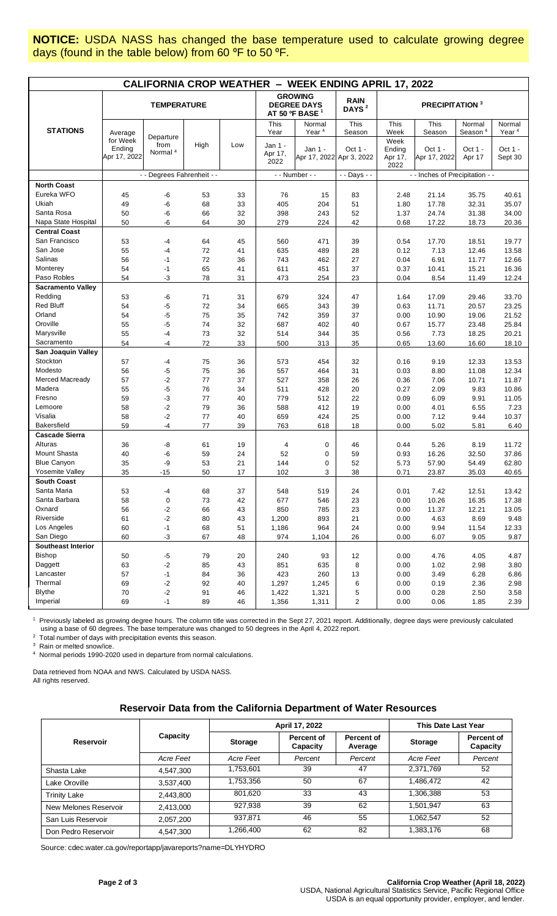**NOTICE:** USDA NASS has changed the base temperature used to calculate growing degree days (found in the table below) from 60 °F to 50 °F.

| <b>CALIFORNIA CROP WEATHER - WEEK ENDING APRIL 17, 2022</b> |                                    |                                          |         |     |                                                                    |                                     |                                  |                                   |                         |                               |                             |
|-------------------------------------------------------------|------------------------------------|------------------------------------------|---------|-----|--------------------------------------------------------------------|-------------------------------------|----------------------------------|-----------------------------------|-------------------------|-------------------------------|-----------------------------|
|                                                             | <b>TEMPERATURE</b>                 |                                          |         |     | <b>GROWING</b><br><b>DEGREE DAYS</b><br>AT 50 ºF BASE <sup>1</sup> |                                     | <b>RAIN</b><br>DAYS <sup>2</sup> | <b>PRECIPITATION 3</b>            |                         |                               |                             |
| <b>STATIONS</b>                                             | Average                            |                                          |         |     | This<br>Year                                                       | Normal<br>Year <sup>4</sup>         | This<br>Season                   | This<br>Week                      | This<br>Season          | Normal<br>Season <sup>4</sup> | Normal<br>Year <sup>4</sup> |
|                                                             | for Week<br>Ending<br>Apr 17, 2022 | Departure<br>from<br>Normal <sup>4</sup> | High    | Low | Jan 1 -<br>Apr 17,<br>2022                                         | Jan 1 -<br>Apr 17, 2022 Apr 3, 2022 | Oct $1 -$                        | Week<br>Ending<br>Apr 17,<br>2022 | Oct 1 -<br>Apr 17, 2022 | Oct 1 -<br>Apr 17             | Oct 1 -<br>Sept 30          |
|                                                             |                                    | - - Degrees Fahrenheit - -               |         |     | - - Number - -                                                     |                                     | - - Days - -                     | - - Inches of Precipitation - -   |                         |                               |                             |
| <b>North Coast</b>                                          |                                    |                                          |         |     |                                                                    |                                     |                                  |                                   |                         |                               |                             |
| Eureka WFO                                                  | 45                                 | -6                                       | 53      | 33  | 76                                                                 | 15                                  | 83                               | 2.48                              | 21.14                   | 35.75                         | 40.61                       |
| Ukiah                                                       | 49                                 | -6                                       | 68      | 33  | 405                                                                | 204                                 | 51                               | 1.80                              | 17.78                   | 32.31                         | 35.07                       |
| Santa Rosa                                                  | 50                                 | -6                                       | 66      | 32  | 398                                                                | 243                                 | 52                               | 1.37                              | 24.74                   | 31.38                         | 34.00                       |
| Napa State Hospital                                         | 50                                 | -6                                       | 64      | 30  | 279                                                                | 224                                 | 42                               | 0.68                              | 17.22                   | 18.73                         | 20.36                       |
| <b>Central Coast</b>                                        |                                    |                                          |         |     |                                                                    |                                     |                                  |                                   |                         |                               |                             |
| San Francisco                                               | 53                                 | $-4$                                     | 64      | 45  | 560                                                                | 471                                 | 39                               | 0.54                              | 17.70                   | 18.51                         | 19.77                       |
| San Jose                                                    | 55                                 | $-4$                                     | 72      | 41  | 635                                                                | 489                                 | 28                               | 0.12                              | 7.13                    | 12.46                         | 13.58                       |
| Salinas                                                     | 56                                 | $-1$                                     | 72      | 36  | 743                                                                | 462                                 | 27                               | 0.04                              | 6.91                    | 11.77                         | 12.66                       |
| Monterey                                                    | 54                                 | $-1$                                     | 65      | 41  | 611                                                                | 451                                 | 37                               | 0.37                              | 10.41                   | 15.21                         | 16.36                       |
| Paso Robles                                                 | 54                                 | -3                                       | 78      | 31  | 473                                                                | 254                                 | 23                               | 0.04                              | 8.54                    | 11.49                         | 12.24                       |
| <b>Sacramento Valley</b>                                    |                                    |                                          |         |     |                                                                    |                                     |                                  |                                   |                         |                               |                             |
| Redding                                                     | 53                                 | -6                                       | 71      | 31  | 679                                                                | 324                                 | 47                               | 1.64                              | 17.09                   | 29.46                         | 33.70                       |
| <b>Red Bluff</b>                                            | 54                                 | $-5$                                     | 72      | 34  | 665                                                                | 343                                 | 39                               | 0.63                              | 11.71                   | 20.57                         | 23.25                       |
| Orland                                                      | 54                                 | -5                                       | 75      | 35  | 742                                                                | 359                                 | 37                               | 0.00                              | 10.90                   | 19.06                         | 21.52                       |
| Oroville                                                    | 55                                 | -5                                       | 74      | 32  | 687                                                                | 402                                 | 40                               | 0.67                              | 15.77                   | 23.48                         | 25.84                       |
| Marysville                                                  | 55                                 | -4                                       | 73      | 32  | 514                                                                | 344                                 | 35                               | 0.56                              | 7.73                    | 18.25                         | 20.21                       |
| Sacramento                                                  | 54                                 | $-4$                                     | 72      | 33  | 500                                                                | 313                                 | 35                               | 0.65                              | 13.60                   | 16.60                         | 18.10                       |
| San Joaquin Valley                                          |                                    |                                          |         |     |                                                                    |                                     |                                  |                                   |                         |                               |                             |
| Stockton                                                    | 57                                 | -4                                       | 75      | 36  | 573                                                                | 454                                 | 32                               | 0.16                              | 9.19                    | 12.33                         | 13.53                       |
| Modesto                                                     | 56                                 | $-5$                                     | 75      | 36  | 557                                                                | 464                                 | 31                               | 0.03                              | 8.80                    | 11.08                         | 12.34                       |
| Merced Macready                                             | 57                                 | $-2$                                     | $77 \,$ | 37  | 527                                                                | 358                                 | 26                               | 0.36                              | 7.06                    | 10.71                         | 11.87                       |
| Madera                                                      | 55                                 | -5                                       | 76      | 34  | 511                                                                | 428                                 | 20                               | 0.27                              | 2.09                    | 9.83                          | 10.86                       |
| Fresno                                                      | 59                                 | -3                                       | 77      | 40  | 779                                                                | 512                                 | 22                               | 0.09                              | 6.09                    | 9.91                          | 11.05                       |
| Lemoore                                                     | 58                                 | $-2$                                     | 79      | 36  | 588                                                                | 412                                 | 19                               | 0.00                              | 4.01                    | 6.55                          | 7.23                        |
| Visalia                                                     | 58                                 | $-2$                                     | 77      | 40  | 659                                                                | 424                                 | 25                               | 0.00                              | 7.12                    | 9.44                          | 10.37                       |
| <b>Bakersfield</b>                                          | 59                                 | $-4$                                     | 77      | 39  | 763                                                                | 618                                 | 18                               | 0.00                              | 5.02                    | 5.81                          | 6.40                        |
| <b>Cascade Sierra</b>                                       |                                    |                                          |         |     |                                                                    |                                     |                                  |                                   |                         |                               |                             |
| Alturas                                                     | 36                                 | -8                                       | 61      | 19  | 4                                                                  | 0                                   | 46                               | 0.44                              | 5.26                    | 8.19                          | 11.72                       |
| Mount Shasta                                                | 40                                 | -6                                       | 59      | 24  | 52                                                                 | 0                                   | 59                               | 0.93                              | 16.26                   | 32.50                         | 37.86                       |
| <b>Blue Canyon</b>                                          | 35                                 | -9                                       | 53      | 21  | 144                                                                | 0                                   | 52                               | 5.73                              | 57.90                   | 54.49                         | 62.80                       |
| Yosemite Valley                                             | 35                                 | $-15$                                    | 50      | 17  | 102                                                                | 3                                   | 38                               | 0.71                              | 23.87                   | 35.03                         | 40.65                       |
| <b>South Coast</b>                                          |                                    |                                          |         |     |                                                                    |                                     |                                  |                                   |                         |                               |                             |
| Santa Maria                                                 | 53                                 | $-4$                                     | 68      | 37  | 548                                                                | 519                                 | 24                               | 0.01                              | 7.42                    | 12.51                         | 13.42                       |
| Santa Barbara                                               | 58                                 | $\pmb{0}$                                | 73      | 42  | 677                                                                | 546                                 | 23                               | 0.00                              | 10.26                   | 16.35                         | 17.38                       |
| Oxnard                                                      | 56                                 | $-2$                                     | 66      | 43  | 850                                                                | 785                                 | 23                               | 0.00                              | 11.37                   | 12.21                         | 13.05                       |
| Riverside                                                   | 61                                 | $-2$                                     | 80      | 43  | 1,200                                                              | 893                                 | 21                               | 0.00                              | 4.63                    | 8.69                          | 9.48                        |
| Los Angeles                                                 | 60                                 | $-1$                                     | 68      | 51  | 1,186                                                              | 964                                 | 24                               | 0.00                              | 9.94                    | 11.54                         | 12.33                       |
| San Diego                                                   | 60                                 | $-3$                                     | 67      | 48  | 974                                                                | 1,104                               | 26                               | 0.00                              | 6.07                    | 9.05                          | 9.87                        |
| <b>Southeast Interior</b>                                   |                                    |                                          |         |     |                                                                    |                                     |                                  |                                   |                         |                               |                             |
| <b>Bishop</b>                                               | 50                                 | $-5$                                     | 79      | 20  | 240                                                                | 93                                  | 12                               | 0.00                              | 4.76                    | 4.05                          | 4.87                        |
| Daggett                                                     | 63                                 | $-2$                                     | 85      | 43  | 851                                                                | 635                                 | 8                                | 0.00                              | 1.02                    | 2.98                          | 3.80                        |
| Lancaster                                                   | 57                                 | $-1$                                     | 84      | 36  | 423                                                                | 260                                 | 13                               | 0.00                              | 3.49                    | 6.28                          | 6.86                        |
| Thermal                                                     | 69                                 | $-2$                                     | 92      | 40  | 1,297                                                              | 1,245                               | 6                                | 0.00                              | 0.19                    | 2.36                          | 2.98                        |
| <b>Blythe</b>                                               | 70                                 | $-2$                                     | 91      | 46  | 1,422                                                              | 1,321                               | 5                                | 0.00                              | 0.28                    | 2.50                          | 3.58                        |
| Imperial                                                    | 69                                 | $-1$                                     | 89      | 46  | 1,356                                                              | 1,311                               | $\overline{2}$                   | 0.00                              | 0.06                    | 1.85                          | 2.39                        |

<sup>1</sup> Previously labeled as growing degree hours. The column title was corrected in the Sept 27, 2021 report. Additionally, degree days were previously calculated using a base of 60 degrees. The base temperature was changed to 50 degrees in the April 4, 2022 report.

<sup>2</sup> Total number of days with precipitation events this season.

3 Rain or melted snow/ice.

4 Normal periods 1990-2020 used in departure from normal calculations.

Data retrieved from NOAA and NWS. Calculated by USDA NASS. All rights reserved.

#### **Reservoir Data from the California Department of Water Resources**

|                       |           |           | April 17, 2022                | This Date Last Year   |                |                               |
|-----------------------|-----------|-----------|-------------------------------|-----------------------|----------------|-------------------------------|
| <b>Reservoir</b>      | Capacity  | Storage   | <b>Percent of</b><br>Capacity | Percent of<br>Average | <b>Storage</b> | <b>Percent of</b><br>Capacity |
|                       | Acre Feet | Acre Feet | Percent                       | Percent               | Acre Feet      | Percent                       |
| Shasta Lake           | 4,547,300 | 1,753,601 | 39                            | 47                    | 2,371,769      | 52                            |
| Lake Oroville         | 3,537,400 | 1,753,356 | 50                            | 67                    | 1,486,472      | 42                            |
| <b>Trinity Lake</b>   | 2,443,800 | 801.620   | 33                            | 43                    | 1,306,388      | 53                            |
| New Melones Reservoir | 2,413,000 | 927,938   | 39                            | 62                    | 1,501,947      | 63                            |
| San Luis Reservoir    | 2,057,200 | 937,871   | 46                            | 55                    | 1,062,547      | 52                            |
| Don Pedro Reservoir   | 4,547,300 | 1,266,400 | 62                            | 82                    | 1,383,176      | 68                            |

Source[: cdec.water.ca.gov/reportapp/javareports?name=DLYHYDRO](https://cdec.water.ca.gov/reportapp/javareports?name=DLYHYDRO)